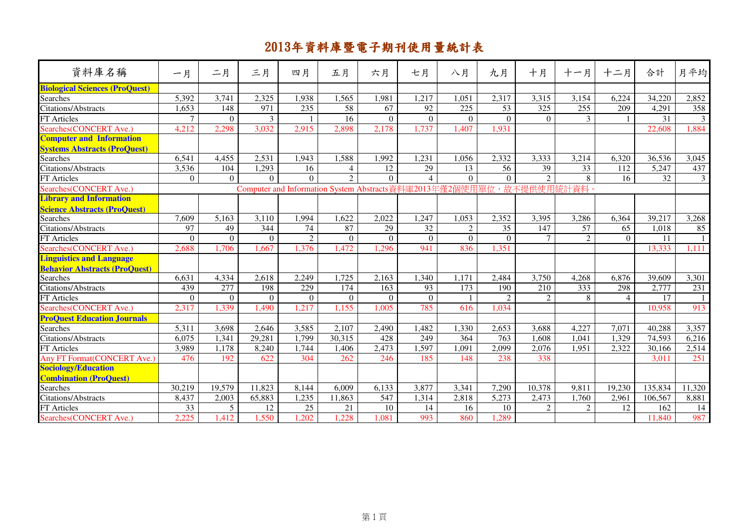| 資料庫名稱                                            | 一月             | 二月       | 三月       | 四月                                                        | 五月             | 六月             | 七月              | 八月             | 九月               | 十月             | 十一月             | 十二月            | 合計      | 月平均           |
|--------------------------------------------------|----------------|----------|----------|-----------------------------------------------------------|----------------|----------------|-----------------|----------------|------------------|----------------|-----------------|----------------|---------|---------------|
| <b>Biological Sciences (ProQuest)</b>            |                |          |          |                                                           |                |                |                 |                |                  |                |                 |                |         |               |
| Searches                                         | 5,392          | 3,741    | 2,325    | 1,938                                                     | 1,565          | 1,981          | 1,217           | 1,051          | 2,317            | 3,315          | 3,154           | 6,224          | 34,220  | 2,852         |
| Citations/Abstracts                              | 1,653          | 148      | 971      | 235                                                       | 58             | 67             | 92              | 225            | 53               | 325            | 255             | 209            | 4,291   | 358           |
| FT Articles                                      | $\overline{7}$ | $\Omega$ | 3        |                                                           | 16             | $\Omega$       | $\Omega$        | $\Omega$       | $\Omega$         | $\Omega$       | 3               |                | 31      | $\mathcal{E}$ |
| Searches(CONCERT Ave.)                           | 4,212          | 2,298    | 3,032    | 2,915                                                     | 2,898          | 2,178          | 1,737           | 1,407          | 1,931            |                |                 |                | 22,608  | 1,884         |
| <b>Computer and Information</b>                  |                |          |          |                                                           |                |                |                 |                |                  |                |                 |                |         |               |
| <b>Systems Abstracts (ProQuest)</b>              |                |          |          |                                                           |                |                |                 |                |                  |                |                 |                |         |               |
| Searches                                         | 6,541          | 4,455    | 2,531    | 1,943                                                     | 1,588          | 1,992          | 1,231           | 1,056          | 2,332            | 3,333          | 3,214           | 6,320          | 36,536  | 3,045         |
| Citations/Abstracts                              | 3,536          | 104      | 1,293    | 16                                                        | $\overline{4}$ | 12             | $\overline{29}$ | 13             | 56               | 39             | $\overline{33}$ | 112            | 5,247   | 437           |
| FT Articles                                      | $\Omega$       | $\Omega$ | $\Omega$ | $\Omega$                                                  | $\mathfrak{D}$ | $\Omega$       | $\overline{4}$  | $\Omega$       | $\Omega$         | $\overline{2}$ | 8               | 16             | 32      | 3             |
| Searches(CONCERT Ave.)                           |                |          |          | Computer and Information System Abstracts資料庫2013年僅2個使用單位, |                |                |                 |                |                  | 故不提供使用統計       | 淑               |                |         |               |
| <b>Library and Information</b>                   |                |          |          |                                                           |                |                |                 |                |                  |                |                 |                |         |               |
| <b>Science Abstracts (ProQuest)</b><br>Searches  |                |          |          |                                                           |                |                |                 |                |                  |                |                 |                |         |               |
|                                                  | 7,609          | 5,163    | 3,110    | 1,994                                                     | 1,622          | 2,022          | 1,247           | 1,053          | 2,352            | 3,395          | 3,286           | 6,364          | 39,217  | 3,268         |
| Citations/Abstracts                              | 97             | 49       | 344      | 74                                                        | 87             | 29             | 32              | $\overline{2}$ | 35               | 147            | 57              | 65             | 1,018   | 85            |
| FT Articles                                      | $\Omega$       | $\Omega$ | $\Omega$ | $\overline{2}$                                            | $\Omega$       | $\overline{0}$ | $\Omega$        | $\Omega$       | $\Omega$         | $\overline{7}$ | $\overline{2}$  | $\Omega$       | 11      |               |
| Searches(CONCERT Ave.)                           | 2,688          | 1,706    | 1,667    | 1,376                                                     | 1,472          | ,296           | 941             | 836            | 1,351            |                |                 |                | 13,333  | 1,111         |
| <b>Linguistics and Language</b>                  |                |          |          |                                                           |                |                |                 |                |                  |                |                 |                |         |               |
| <b>Behavior Abstracts (ProQuest)</b><br>Searches |                |          |          |                                                           |                |                |                 |                |                  |                |                 |                |         |               |
|                                                  | 6,631          | 4,334    | 2,618    | 2,249                                                     | 1,725          | 2,163          | 1,340           | 1,171          | 2,484            | 3,750          | 4,268           | 6,876          | 39,609  | 3,301         |
| <b>Citations/Abstracts</b>                       | 439            | 277      | 198      | $\overline{229}$                                          | 174            | 163            | 93              | 173            | 190              | 210            | 333             | 298            | 2,777   | 231           |
| <b>FT</b> Articles                               | $\Omega$       | $\theta$ | $\Omega$ | $\theta$                                                  | $\Omega$       | $\Omega$       | $\Omega$        |                | $\overline{2}$   | 2              | 8               | $\overline{4}$ | 17      |               |
| Searches(CONCERT Ave.)                           | 2,317          | 1,339    | 1,490    | 1,217                                                     | 1,155          | 1,005          | 785             | 616            | 1,034            |                |                 |                | 10,958  | 913           |
| <b>ProQuest Education Journals</b>               |                |          |          |                                                           |                |                |                 |                |                  |                |                 |                |         |               |
| <b>Searches</b>                                  | 5,311          | 3,698    | 2,646    | 3,585                                                     | 2,107          | 2,490          | 1,482           | 1,330          | 2,653            | 3,688          | 4,227           | 7,071          | 40,288  | 3,357         |
| <b>Citations/Abstracts</b>                       | 6,075          | 1,341    | 29,281   | 1,799                                                     | 30,315         | 428            | 249             | 364            | $\overline{763}$ | 1,608          | 1,041           | 1,329          | 74,593  | 6,216         |
| <b>FT</b> Articles                               | 3,989          | 1,178    | 8,240    | 1,744                                                     | 1,406          | 2,473          | 1,597           | 1,091          | 2,099            | 2,076          | 1,951           | 2,322          | 30,166  | 2,514         |
| <b>Any FT Format (CONCERT Ave.)</b>              | 476            | 192      | 622      | 304                                                       | 262            | 246            | 185             | 148            | 238              | 338            |                 |                | 3,011   | 251           |
| <b>Sociology/Education</b>                       |                |          |          |                                                           |                |                |                 |                |                  |                |                 |                |         |               |
| <b>Combination (ProQuest)</b>                    |                |          |          |                                                           |                |                |                 |                |                  |                |                 |                |         |               |
| Searches                                         | 30,219         | 19,579   | 11,823   | 8,144                                                     | 6,009          | 6,133          | 3,877           | 3,341          | 7,290            | 10,378         | 9,811           | 19,230         | 135,834 | 11,320        |
| Citations/Abstracts                              | 8,437          | 2,003    | 65,883   | 1,235                                                     | 11,863         | 547            | 1,314           | 2,818          | 5,273            | 2,473          | 1,760           | 2,961          | 106,567 | 8,881         |
| <b>FT</b> Articles                               | 33             | 5        | 12       | 25                                                        | 21             | 10             | 14              | 16             | 10               | 2              | 2               | 12             | 162     | 14            |
| Searches(CONCERT Ave.)                           | 2,225          | 1,412    | 1,550    | ,202                                                      | ,228           | 1,081          | 993             | 860            | 1,289            |                |                 |                | 11,840  | 987           |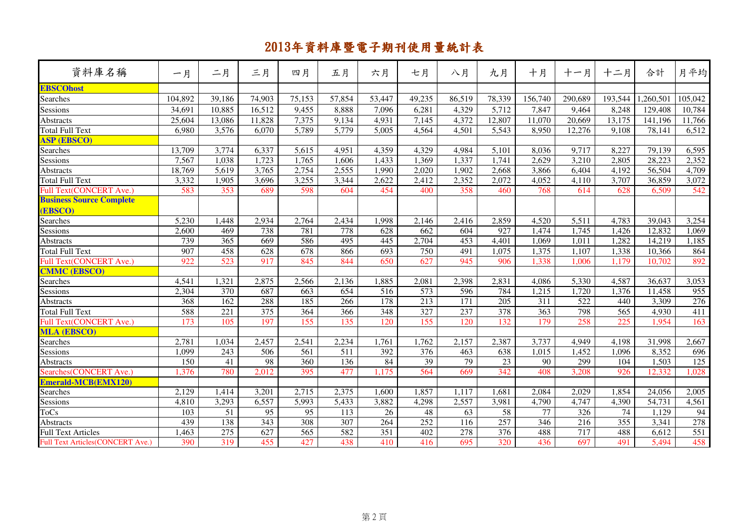|                                          |         | 二月               | 三月     | 四月               | 五月               | 六月               | 七月               | 八月                | 九月     | 十月              | 十一月              | 十二月               | 合計        | 月平均     |
|------------------------------------------|---------|------------------|--------|------------------|------------------|------------------|------------------|-------------------|--------|-----------------|------------------|-------------------|-----------|---------|
| 資料庫名稱                                    | 一月      |                  |        |                  |                  |                  |                  |                   |        |                 |                  |                   |           |         |
| <b>EBSCOhost</b>                         |         |                  |        |                  |                  |                  |                  |                   |        |                 |                  |                   |           |         |
| Searches                                 | 104,892 | 39,186           | 74,903 | 75,153           | 57,854           | 53,447           | 49,235           | 86,519            | 78,339 | 156,740         | 290,689          | 193,544           | 1,260,501 | 105,042 |
| Sessions                                 | 34,691  | 10,885           | 16,512 | 9,455            | 8,888            | 7,096            | 6,281            | 4,329             | 5,712  | 7,847           | 9,464            | 8,248             | 129,408   | 10,784  |
| Abstracts                                | 25,604  | 13,086           | 11,828 | 7,375            | 9,134            | 4,931            | 7,145            | 4,372             | 12,807 | 11,070          | 20,669           | 13,175            | 141,196   | 11,766  |
| Total Full Text                          | 6,980   | 3,576            | 6,070  | 5,789            | 5,779            | 5,005            | 4,564            | 4,501             | 5,543  | 8,950           | 12,276           | 9,108             | 78,141    | 6,512   |
| <b>ASP (EBSCO)</b>                       |         |                  |        |                  |                  |                  |                  |                   |        |                 |                  |                   |           |         |
| Searches                                 | 13,709  | 3,774            | 6,337  | 5,615            | 4,951            | 4,359            | 4,329            | 4,984             | 5,101  | 8,036           | 9,717            | 8,227             | 79,139    | 6,595   |
| Sessions                                 | 7,567   | 1,038            | 1,723  | 1,765            | 1,606            | 1,433            | 1,369            | 1,337             | 1,741  | 2,629           | 3,210            | 2,805             | 28,223    | 2,352   |
| Abstracts                                | 18,769  | 5,619            | 3,765  | 2,754            | 2,555            | 1,990            | 2,020            | 1,902             | 2,668  | 3,866           | 6,404            | 4,192             | 56,504    | 4,709   |
| Total Full Text                          | 3,332   | 1,905            | 3,696  | 3,255            | 3,344            | 2,622            | 2,412            | 2,352             | 2,072  | 4,052           | 4,110            | 3,707             | 36,859    | 3,072   |
| Full Text(CONCERT Ave.)                  | 583     | 353              | 689    | 598              | 604              | 454              | 400              | 358               | 460    | 768             | 614              | 628               | 6,509     | 542     |
| <b>Business Source Complete</b>          |         |                  |        |                  |                  |                  |                  |                   |        |                 |                  |                   |           |         |
| (EBSCO)                                  |         |                  |        |                  |                  |                  |                  |                   |        |                 |                  |                   |           |         |
| Searches                                 | 5,230   | 1,448            | 2,934  | 2,764            | 2,434            | 1,998            | 2,146            | 2,416             | 2,859  | 4,520           | 5,511            | 4,783             | 39,043    | 3,254   |
| Sessions                                 | 2,600   | 469              | 738    | 781              | 778              | $\overline{628}$ | $\overline{662}$ | 604               | 927    | 1,474           | 1,745            | 1,426             | 12,832    | 1,069   |
| Abstracts                                | 739     | 365              | 669    | 586              | 495              | 445              | 2,704            | 453               | 4,401  | 1,069           | 1,011            | 1,282             | 14,219    | 1,185   |
| <b>Total Full Text</b>                   | 907     | 458              | 628    | 678              | 866              | 693              | 750              | 491               | 1,075  | 1,375           | 1,107            | 1,338             | 10,366    | 864     |
| Full Text(CONCERT Ave.)                  | 922     | $\overline{523}$ | 917    | 845              | 844              | 650              | 627              | 945               | 906    | 1,338           | 1,006            | 1,179             | 10,702    | 892     |
| <b>CMMC (EBSCO)</b>                      |         |                  |        |                  |                  |                  |                  |                   |        |                 |                  |                   |           |         |
| Searches                                 | 4,541   | 1,321            | 2,875  | 2,566            | 2,136            | 1,885            | 2,081            | 2,398             | 2,831  | 4,086           | 5,330            | 4,587             | 36,637    | 3,053   |
| Sessions                                 | 2,304   | 370              | 687    | 663              | 654              | $\overline{516}$ | 573              | 596               | 784    | 1,215           | 1,720            | 1,376             | 11,458    | 955     |
| <b>Abstracts</b>                         | 368     | 162              | 288    | 185              | 266              | 178              | 213              | $\overline{171}$  | 205    | 311             | 522              | 440               | 3,309     | 276     |
| <b>Total Full Text</b>                   | 588     | 221              | 375    | 364              | 366              | 348              | 327              | 237               | 378    | 363             | 798              | $\frac{565}{565}$ | 4,930     | 411     |
| Full Text(CONCERT Ave.)                  | 173     | 105              | 197    | 155              | 135              | 120              | 155              | 120               | 132    | 179             | 258              | 225               | 1,954     | 163     |
| <b>MLA (EBSCO)</b>                       |         |                  |        |                  |                  |                  |                  |                   |        |                 |                  |                   |           |         |
| Searches                                 | 2,781   | 1,034            | 2,457  | 2,541            | 2,234            | 1,761            | 1,762            | 2,157             | 2,387  | 3,737           | 4,949            | 4,198             | 31,998    | 2,667   |
| Sessions                                 | 1,099   | $\overline{243}$ | 506    | $\overline{561}$ | $\overline{511}$ | 392              | $\overline{376}$ | 463               | 638    | 1,015           | 1,452            | 1,096             | 8,352     | 696     |
| <b>Abstracts</b>                         | 150     | 41               | 98     | 360              | 136              | 84               | 39               | 79                | 23     | 90              | 299              | 104               | 1,503     | 125     |
| Searches(CONCERT Ave.)                   | 1,376   | 780              | 2,012  | 395              | 477              | 1,175            | 564              | 669               | 342    | 408             | 3,208            | 926               | 12,332    | 1,028   |
| <b>Emerald-MCB(EMX120)</b>               |         |                  |        |                  |                  |                  |                  |                   |        |                 |                  |                   |           |         |
| Searches                                 | 2,129   | 1,414            | 3,201  | 2,715            | 2,375            | 1,600            | 1,857            | 1,117             | 1,681  | 2,084           | 2,029            | 1,854             | 24,056    | 2,005   |
| Sessions                                 | 4,810   | 3,293            | 6,557  | 5,993            | 5,433            | 3,882            | 4,298            | 2,557             | 3,981  | 4,790           | 4,747            | 4,390             | 54,731    | 4,561   |
| <b>ToCs</b>                              | 103     | 51               | 95     | $\overline{95}$  | 113              | 26               | 48               | 63                | 58     | $\overline{77}$ | 326              | 74                | 1,129     | 94      |
| <b>Abstracts</b>                         | 439     | 138              | 343    | 308              | 307              | 264              | 252              | $\frac{116}{116}$ | 257    | 346             | $\overline{216}$ | 355               | 3,341     | 278     |
| <b>Full Text Articles</b>                | 1,463   | 275              | 627    | $\overline{565}$ | 582              | 351              | 402              | 278               | 376    | 488             | 717              | 488               | 6,612     | 551     |
| <b>Full Text Articles (CONCERT Ave.)</b> | 390     | 319              | 455    | 427              | 438              | 410              | 416              | 695               | 320    | 436             | 697              | 491               | 5,494     | 458     |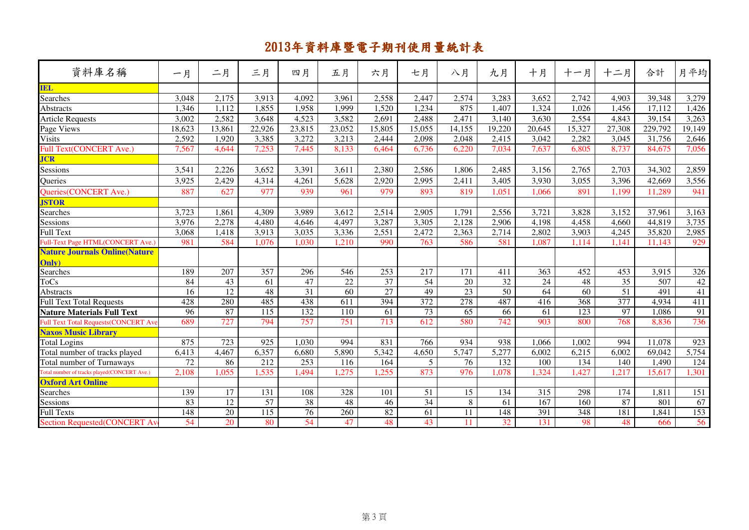| 資料庫名稱                                       | 一月              | 二月              | 三月               | 四月              | 五月               | 六月              | 七月               | 八月              | 九月               | 十月               | 十一月             | 十二月             | 合計      | 月平均              |
|---------------------------------------------|-----------------|-----------------|------------------|-----------------|------------------|-----------------|------------------|-----------------|------------------|------------------|-----------------|-----------------|---------|------------------|
| <b>IEL</b>                                  |                 |                 |                  |                 |                  |                 |                  |                 |                  |                  |                 |                 |         |                  |
| Searches                                    | 3,048           | 2,175           | 3,913            | 4,092           | 3,961            | 2,558           | 2,447            | 2,574           | 3,283            | 3,652            | 2,742           | 4,903           | 39,348  | 3,279            |
| <b>Abstracts</b>                            | 1,346           | 1,112           | 1,855            | 1,958           | 1,999            | 1,520           | 1,234            | 875             | 1,407            | 1,324            | 1,026           | 1,456           | 17.112  | 1,426            |
| <b>Article Requests</b>                     | 3,002           | 2,582           | 3,648            | 4,523           | 3,582            | 2,691           | 2,488            | 2,471           | 3,140            | 3,630            | 2,554           | 4,843           | 39,154  | 3,263            |
| Page Views                                  | 18,623          | 13,861          | 22,926           | 23,815          | 23,052           | 15,805          | 15,055           | 14,155          | 19,220           | 20,645           | 15,327          | 27,308          | 229,792 | 19,149           |
| <b>Visits</b>                               | 2,592           | 1.920           | 3,385            | 3,272           | 3,213            | 2,444           | 2,098            | 2,048           | 2,415            | 3,042            | 2,282           | 3,045           | 31,756  | 2,646            |
| Full Text(CONCERT Ave.)                     | 7,567           | 4,644           | 7,253            | 7,445           | 8.133            | 6,464           | 6,736            | 6.220           | 7,034            | 7,637            | 6.805           | 8,737           | 84,675  | 7,056            |
| <b>JCR</b>                                  |                 |                 |                  |                 |                  |                 |                  |                 |                  |                  |                 |                 |         |                  |
| Sessions                                    | 3,541           | 2,226           | 3,652            | 3,391           | 3,611            | 2,380           | 2,586            | 1,806           | 2,485            | 3,156            | 2,765           | 2,703           | 34,302  | 2,859            |
| Queries                                     | 3,925           | 2.429           | 4.314            | 4,261           | 5,628            | 2,920           | 2.995            | 2.411           | 3,405            | 3,930            | 3,055           | 3,396           | 42,669  | 3,556            |
| Queries(CONCERT Ave.)                       | 887             | 627             | 977              | 939             | 961              | 979             | 893              | 819             | 1,051            | 1,066            | 891             | 1,199           | 11,289  | 941              |
| <b>JSTOR</b>                                |                 |                 |                  |                 |                  |                 |                  |                 |                  |                  |                 |                 |         |                  |
| Searches                                    | 3,723           | 1,861           | 4,309            | 3,989           | 3.612            | 2,514           | 2,905            | 1.791           | 2,556            | 3.721            | 3,828           | 3,152           | 37,961  | 3,163            |
| Sessions                                    | 3,976           | 2,278           | 4,480            | 4,646           | 4,497            | 3,287           | 3,305            | 2,128           | 2,906            | 4,198            | 4,458           | 4,660           | 44,819  | 3,735            |
| <b>Full Text</b>                            | 3,068           | 1,418           | 3,913            | 3,035           | 3,336            | 2,551           | 2,472            | 2,363           | 2,714            | 2,802            | 3,903           | 4,245           | 35,820  | 2,985            |
| Full-Text Page HTML(CONCERT Ave.)           | 981             | 584             | 1,076            | 1,030           | 1,210            | 990             | 763              | 586             | 581              | 1,087            | 1.114           | 1,141           | 11.143  | 929              |
| <b>Nature Journals Online (Nature</b>       |                 |                 |                  |                 |                  |                 |                  |                 |                  |                  |                 |                 |         |                  |
| <b>Only</b>                                 |                 |                 |                  |                 |                  |                 |                  |                 |                  |                  |                 |                 |         |                  |
| Searches                                    | 189             | 207             | 357              | 296             | 546              | 253             | 217              | 171             | 411              | 363              | 452             | 453             | 3,915   | 326              |
| <b>ToCs</b>                                 | 84              | $\overline{43}$ | 61               | 47              | $22\,$           | $\overline{37}$ | $\overline{54}$  | 20              | $\overline{32}$  | $24\,$           | 48              | $\overline{35}$ | 507     | $42\,$           |
| <b>Abstracts</b>                            | 16              | 12              | 48               | 31              | $\overline{60}$  | 27              | 49               | 23              | $\overline{50}$  | 64               | $\overline{60}$ | 51              | 491     | 41               |
| <b>Full Text Total Requests</b>             | 428             | 280             | 485              | 438             | 611              | 394             | 372              | 278             | 487              | 416              | 368             | 377             | 4,934   | 411              |
| <b>Nature Materials Full Text</b>           | 96              | 87              | 115              | 132             | 110              | 61              | 73               | 65              | 66               | 61               | 123             | 97              | 1,086   | 91               |
| <b>Full Text Total Requests(CONCERT Ave</b> | 689             | 727             | 794              | 757             | $\overline{751}$ | 713             | $\overline{612}$ | 580             | 742              | 903              | 800             | 768             | 8,836   | 736              |
| <b>Naxos Music Library</b>                  |                 |                 |                  |                 |                  |                 |                  |                 |                  |                  |                 |                 |         |                  |
| <b>Total Logins</b>                         | 875             | 723             | 925              | 1,030           | 994              | 831             | 766              | 934             | 938              | 1,066            | 1,002           | 994             | 11,078  | 923              |
| Total number of tracks played               | 6,413           | 4,467           | 6,357            | 6,680           | 5,890            | 5,342           | 4,650            | 5,747           | 5,277            | 6,002            | 6,215           | 6,002           | 69,042  | 5,754            |
| Total number of Turnaways                   | $\overline{72}$ | 86              | $\overline{212}$ | 253             | 116              | 164             | 5                | $\overline{76}$ | $\overline{132}$ | $\overline{100}$ | 134             | 140             | 1,490   | $\overline{124}$ |
| Total number of tracks played(CONCERT Ave.) | 2,108           | 1,055           | 1,535            | 1,494           | 1,275            | 1,255           | 873              | 976             | 1,078            | 1,324            | 1,427           | 1,217           | 15,617  | 1,301            |
| <b>Oxford Art Online</b>                    |                 |                 |                  |                 |                  |                 |                  |                 |                  |                  |                 |                 |         |                  |
| Searches                                    | 139             | 17              | 131              | 108             | 328              | 101             | 51               | 15              | 134              | 315              | 298             | 174             | 1.811   | 151              |
| Sessions                                    | 83              | 12              | $\overline{57}$  | 38              | 48               | 46              | $\overline{34}$  | 8               | 61               | 167              | 160             | 87              | 801     | 67               |
| <b>Full Texts</b>                           | 148             | $\overline{20}$ | 115              | $\overline{76}$ | 260              | 82              | 61               | 11              | 148              | 391              | 348             | 181             | 1,841   | 153              |
| <b>Section Requested(CONCERT Av</b>         | 54              | 20              | 80               | 54              | 47               | 48              | 43               | 11              | 32               | 131              | 98              | 48              | 666     | 56               |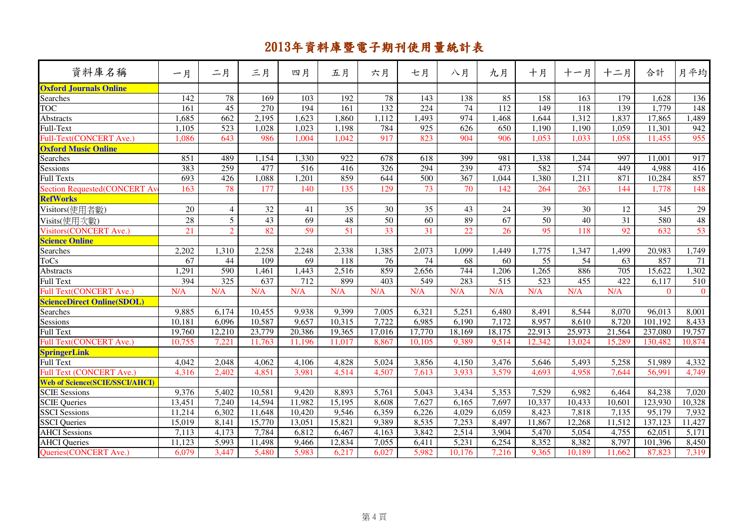| 資料庫名稱                                 | 一月              | 二月               | 三月               | 四月               | 五月     | 六月               | 七月               | 八月              | 九月               | 十月               | 十一月              | 十二月              | 合計       | 月平均            |
|---------------------------------------|-----------------|------------------|------------------|------------------|--------|------------------|------------------|-----------------|------------------|------------------|------------------|------------------|----------|----------------|
| <b>Oxford Journals Online</b>         |                 |                  |                  |                  |        |                  |                  |                 |                  |                  |                  |                  |          |                |
| Searches                              | 142             | 78               | 169              | 103              | 192    | 78               | 143              | 138             | 85               | 158              | 163              | 179              | 1,628    | 136            |
| <b>TOC</b>                            | 161             | 45               | $\overline{270}$ | 194              | 161    | 132              | 224              | $\overline{74}$ | 112              | 149              | 118              | 139              | 1,779    | 148            |
| <b>Abstracts</b>                      | 1,685           | $\overline{662}$ | 2,195            | 1,623            | 1,860  | 1,112            | 1,493            | 974             | 1,468            | 1,644            | 1,312            | 1,837            | 17,865   | 1,489          |
| Full-Text                             | 1,105           | 523              | 1,028            | 1,023            | 1,198  | 784              | 925              | 626             | 650              | 1,190            | 1,190            | 1,059            | 11,301   | 942            |
| Full-Text(CONCERT Ave.)               | 1,086           | 643              | 986              | 1,004            | 1,042  | 917              | 823              | 904             | 906              | 1,053            | 1,033            | 1,058            | 11,455   | 955            |
| <b>Oxford Music Online</b>            |                 |                  |                  |                  |        |                  |                  |                 |                  |                  |                  |                  |          |                |
| Searches                              | 851             | 489              | 1,154            | 1,330            | 922    | 678              | 618              | 399             | 981              | 1,338            | 1,244            | 997              | 11,001   | 917            |
| Sessions                              | 383             | 259              | 477              | $\overline{516}$ | 416    | $\overline{326}$ | 294              | 239             | 473              | 582              | $\overline{574}$ | 449              | 4,988    | 416            |
| Full Texts                            | 693             | $\overline{426}$ | 1,088            | $\overline{201}$ | 859    | 644              | 500              | 367             | 1,044            | 1,380            | 1,211            | $\overline{871}$ | 10,284   | 857            |
| <b>Section Requested(CONCERT A</b>    | 163             | 78               | 177              | 140              | 135    | 129              | 73               | 70              | 142              | 264              | 263              | 144              | 1,778    | 148            |
| <b>RefWorks</b>                       |                 |                  |                  |                  |        |                  |                  |                 |                  |                  |                  |                  |          |                |
| Visitors(使用者數)                        | 20              | $\overline{4}$   | 32               | 41               | 35     | 30               | 35               | 43              | 24               | 39               | 30               | 12               | 345      | 29             |
| Visits(使用次數)                          | $\overline{28}$ | $\overline{5}$   | 43               | 69               | 48     | 50               | 60               | 89              | 67               | 50               | 40               | $\overline{31}$  | 580      | 48             |
| <b>Visitors(CONCERT Ave.)</b>         | 21              | $\overline{2}$   | 82               | 59               | 51     | $\overline{33}$  | $\overline{31}$  | $\overline{22}$ | 26               | 95               | 118              | 92               | 632      | 53             |
| <b>Science Online</b>                 |                 |                  |                  |                  |        |                  |                  |                 |                  |                  |                  |                  |          |                |
| Searches                              | 2,202           | 1,310            | 2,258            | 2,248            | 2,338  | 1,385            | 2,073            | 1,099           | 1,449            | 1,775            | 1,347            | 1,499            | 20,983   | 1,749          |
| ToCs                                  | 67              | 44               | 109              | $\overline{69}$  | 118    | 76               | 74               | $\overline{68}$ | 60               | $\overline{55}$  | $\overline{54}$  | 63               | 857      | 71             |
| <b>Abstracts</b>                      | 1,291           | 590              | 1,461            | 1,443            | 2,516  | 859              | 2,656            | 744             | 1,206            | 1,265            | 886              | 705              | 15,622   | 1,302          |
| <b>Full Text</b>                      | 394             | $\overline{325}$ | 637              | $\overline{712}$ | 899    | 403              | $\overline{549}$ | 283             | $\overline{515}$ | $\overline{523}$ | 455              | $\overline{422}$ | 6,117    | 510            |
| Full Text(CONCERT Ave.)               | N/A             | N/A              | N/A              | N/A              | N/A    | N/A              | N/A              | N/A             | N/A              | N/A              | N/A              | N/A              | $\theta$ | $\overline{0}$ |
| <b>ScienceDirect Online(SDOL)</b>     |                 |                  |                  |                  |        |                  |                  |                 |                  |                  |                  |                  |          |                |
| Searches                              | 9,885           | 6,174            | 10,455           | 9,938            | 9.399  | 7,005            | 6,321            | 5,251           | 6,480            | 8,491            | 8,544            | 8,070            | 96,013   | 8,001          |
| Sessions                              | 10,181          | 6,096            | 10,587           | 9,657            | 10,315 | 7,722            | 6,985            | 6,190           | 7,172            | 8,957            | 8,610            | 8,720            | 101,192  | 8,433          |
| <b>Full Text</b>                      | 19,760          | 12,210           | 23,779           | 20,386           | 19,365 | 17,016           | 17,770           | 18,169          | 18,175           | 22,913           | 25,973           | 21,564           | 237,080  | 19,757         |
| Full Text(CONCERT Ave.)               | 10,755          | 7,221            | 11,763           | 11.196           | 11.017 | 8,867            | 10,105           | 9,389           | 9,514            | 12,342           | 13,024           | 15,289           | 130,482  | 10,874         |
| SpringerLink<br>Full Text             |                 |                  |                  |                  |        |                  |                  |                 |                  |                  |                  |                  |          |                |
|                                       | 4,042           | 2,048            | 4,062            | 4,106            | 4,828  | 5,024            | 3,856            | 4,150           | 3,476            | 5,646            | 5,493            | 5,258            | 51,989   | 4,332          |
| Full Text (CONCERT Ave.)              | 4,316           | 2,402            | 4,851            | 3,981            | 4,514  | 4,507            | 7,613            | 3,933           | 3,579            | 4,693            | 4,958            | 7,644            | 56,991   | 4,749          |
| <b>Web of Science(SCIE/SSCI/AHCI)</b> |                 |                  |                  |                  |        |                  |                  |                 |                  |                  |                  |                  |          |                |
| <b>SCIE Sessions</b>                  | 9,376           | 5,402            | 10,581           | 9,420            | 8,893  | 5,761            | 5,043            | 3,434           | 5,353            | 7,529            | 6,982            | 6,464            | 84,238   | 7,020          |
| <b>SCIE Queries</b>                   | 13,451          | 7,240            | 14,594           | 11,982           | 15,195 | 8,608            | 7,627            | 6,165           | 7,697            | 10,337           | 10,433           | 10,601           | 123,930  | 10,328         |
| <b>SSCI</b> Sessions                  | 11,214          | 6,302            | 11,648           | 10,420           | 9,546  | 6,359            | 6,226            | 4,029           | 6,059            | 8,423            | 7,818            | 7,135            | 95,179   | 7,932          |
| <b>SSCI</b> Queries                   | 15,019          | 8,141            | 15,770           | 13,051           | 15,821 | 9,389            | 8,535            | 7,253           | 8,497            | 11,867           | 12,268           | 11,512           | 137,123  | 11,427         |
| <b>AHCI</b> Sessions                  | 7,113           | 4,173            | 7,784            | 6,812            | 6,467  | 4,163            | 3,842            | 2,514           | 3,904            | 5,470            | 5,054            | 4,755            | 62,051   | 5,171          |
| <b>AHCI</b> Queries                   | 11,123          | 5,993            | 11,498           | 9,466            | 12,834 | 7,055            | 6,411            | 5,231           | 6,254            | 8,352            | 8,382            | 8,797            | 101,396  | 8,450          |
| Queries(CONCERT Ave.)                 | 6,079           | 3,447            | 5,480            | 5,983            | 6,217  | 6,027            | 5,982            | 10,176          | 7,216            | 9,365            | 10,189           | 11,662           | 87,823   | 7,319          |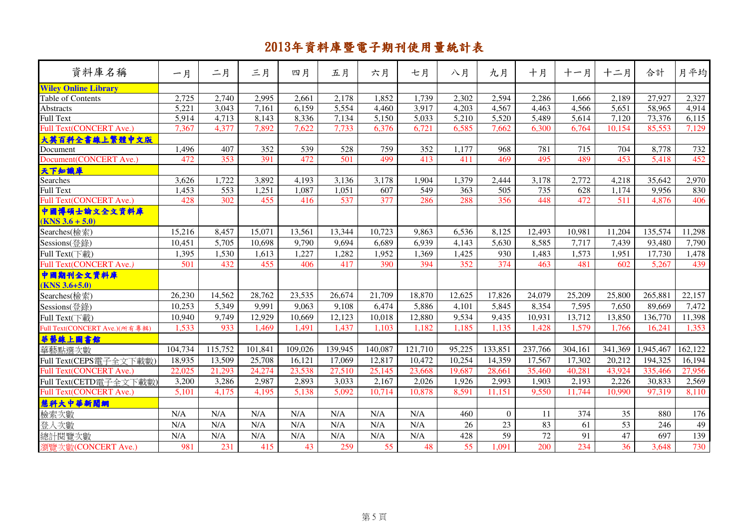|                                                   |         | 二月      | 三月      | 四月      | 五月      |         |         | 八月     | 九月               |         | 十一月     |         | 合計        | 月平均     |
|---------------------------------------------------|---------|---------|---------|---------|---------|---------|---------|--------|------------------|---------|---------|---------|-----------|---------|
| 資料庫名稱                                             | 一月      |         |         |         |         | 六月      | 七月      |        |                  | 十月      |         | 十二月     |           |         |
| <b>Wiley Online Library</b>                       |         |         |         |         |         |         |         |        |                  |         |         |         |           |         |
| Table of Contents                                 | 2,725   | 2,740   | 2,995   | 2,661   | 2,178   | 1,852   | 1,739   | 2,302  | 2,594            | 2,286   | 1,666   | 2,189   | 27,927    | 2,327   |
| <b>Abstracts</b>                                  | 5,221   | 3,043   | 7,161   | 6,159   | 5,554   | 4,460   | 3,917   | 4,203  | 4,567            | 4,463   | 4,566   | 5,651   | 58,965    | 4,914   |
| Full Text                                         | 5,914   | 4,713   | 8,143   | 8,336   | 7,134   | 5,150   | 5,033   | 5,210  | 5,520            | 5,489   | 5,614   | 7,120   | 73,376    | 6,115   |
| Full Text(CONCERT Ave.)                           | 7,367   | 4,377   | 7,892   | 7,622   | 7,733   | 6,376   | 6,721   | 6,585  | 7,662            | 6,300   | 6,764   | 10,154  | 85,553    | 7,129   |
| 大英百科全書線上繁體中文版                                     |         |         |         |         |         |         |         |        |                  |         |         |         |           |         |
| Document                                          | 1,496   | 407     | 352     | 539     | 528     | 759     | 352     | 1,177  | 968              | 781     | 715     | 704     | 8,778     | 732     |
| Document(CONCERT Ave.)                            | 472     | 353     | 391     | 472     | 501     | 499     | 413     | 411    | 469              | 495     | 489     | 453     | 5,418     | 452     |
| 天下知識庫                                             |         |         |         |         |         |         |         |        |                  |         |         |         |           |         |
| Searches                                          | 3,626   | 1,722   | 3,892   | 4,193   | 3,136   | 3,178   | 1,904   | 1,379  | 2,444            | 3,178   | 2,772   | 4,218   | 35,642    | 2,970   |
| <b>Full Text</b>                                  | 1,453   | 553     | 1,251   | 1,087   | 1,051   | 607     | 549     | 363    | $\overline{505}$ | 735     | 628     | 1,174   | 9,956     | 830     |
| Full Text(CONCERT Ave.)                           | 428     | 302     | 455     | 416     | 537     | 377     | 286     | 288    | 356              | 448     | 472     | 511     | 4,876     | 406     |
| 中國博碩士論文全文資料庫<br>$(KNS 3.6 + 5.0)$                 |         |         |         |         |         |         |         |        |                  |         |         |         |           |         |
| Searches(檢索)                                      | 15,216  | 8,457   | 15,071  | 13,561  | 13,344  | 10,723  | 9,863   | 6,536  | 8,125            | 12,493  | 10,981  | 11,204  | 135,574   | 11,298  |
| Sessions(登錄)                                      | 10,451  | 5,705   | 10,698  | 9,790   | 9,694   | 6,689   | 6,939   | 4,143  | 5,630            | 8,585   | 7,717   | 7,439   | 93,480    | 7,790   |
| Full Text(下載)                                     | 1,395   | 1,530   | 1,613   | 1,227   | 1,282   | 1,952   | 1,369   | 1,425  | 930              | 1,483   | 1,573   | 1,951   | 17,730    | 1,478   |
| Full Text(CONCERT Ave.)                           | 501     | 432     | 455     | 406     | 417     | 390     | 394     | 352    | 374              | 463     | 481     | 602     | 5,267     | 439     |
| 中國期刊全文資料庫                                         |         |         |         |         |         |         |         |        |                  |         |         |         |           |         |
| $(KNS 3.6+5.0)$<br>Searches(檢索)                   | 26,230  | 14,562  | 28,762  | 23,535  | 26,674  | 21,709  | 18,870  | 12,625 | 17,826           | 24,079  | 25,209  | 25,800  | 265,881   | 22,157  |
|                                                   | 10,253  |         | 9,991   | 9,063   | 9,108   |         | 5,886   | 4,101  | 5,845            | 8,354   | 7,595   | 7,650   | 89,669    | 7,472   |
| Sessions(登錄)                                      |         | 5,349   |         |         | 12,123  | 6,474   |         | 9,534  | 9,435            |         |         |         | 136,770   |         |
| Full Text(下載)                                     | 10,940  | 9,749   | 12,929  | 10,669  |         | 10,018  | 12,880  |        |                  | 10,931  | 13,712  | 13,850  |           | 11,398  |
| Full Text(CONCERT Ave.)(所有專輯)                     | 1,533   | 933     | 1,469   | 1,491   | 1,437   | 1,103   | 1,182   | 1,185  | 1,135            | 1,428   | 1,579   | 1,766   | 16,241    | 1,353   |
| 華藝線上圖書館<br>華藝點選次數                                 | 104,734 | 115,752 | 101,841 | 109,026 | 139,945 | 140,087 | 121,710 | 95,225 | 133,851          | 237,766 | 304,161 | 341,369 | 1,945,467 | 162,122 |
|                                                   | 18,935  | 13,509  | 25,708  | 16,121  | 17,069  | 12,817  | 10,472  | 10,254 | 14,359           | 17,567  | 17,302  | 20,212  | 194,325   | 16,194  |
| Full Text(CEPS電子全文下載數)<br>Full Text(CONCERT Ave.) | 22,025  | 21,293  | 24,274  | 23,538  | 27,510  | 25,145  | 23,668  | 19,687 | 28,661           | 35,460  | 40,281  | 43,924  | 335,466   | 27,956  |
|                                                   | 3,200   | 3,286   | 2,987   | 2,893   | 3,033   | 2,167   | 2,026   | 1,926  | 2,993            | 1,903   | 2,193   | 2,226   | 30,833    | 2,569   |
| Full Text(CETD電子全文下載數)                            |         |         |         | 5,138   | 5,092   |         |         |        |                  | 9,550   |         |         |           | 8,110   |
| Full Text(CONCERT Ave.)                           | 5,101   | 4,175   | 4,195   |         |         | 10,714  | 10,878  | 8,591  | 11,151           |         | 11,744  | 10,990  | 97,319    |         |
| 慧科大中華新聞網                                          |         |         |         |         |         |         |         |        |                  |         |         |         |           |         |
| 檢索次數                                              | N/A     | N/A     | N/A     | N/A     | N/A     | N/A     | N/A     | 460    | $\overline{0}$   | 11      | 374     | 35      | 880       | 176     |
| 登入次數                                              | N/A     | N/A     | N/A     | N/A     | N/A     | N/A     | N/A     | 26     | 23               | 83      | 61      | 53      | 246       | 49      |
| 總計閱覽次數                                            | N/A     | N/A     | N/A     | N/A     | N/A     | N/A     | N/A     | 428    | 59               | 72      | 91      | 47      | 697       | 139     |
| 瀏覽次數(CONCERT Ave.)                                | 981     | 231     | 415     | 43      | 259     | 55      | 48      | 55     | 1,091            | 200     | 234     | 36      | 3,648     | 730     |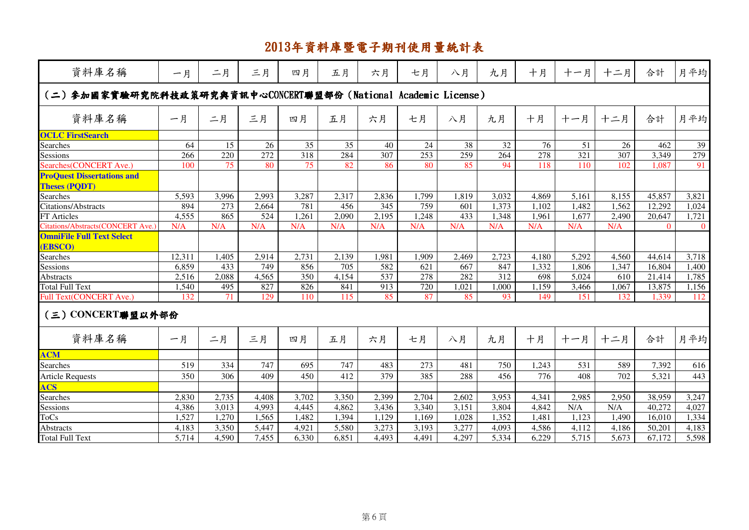| 資料庫名稱                                                           | 一月     | 二月              | 三月               | 四月              | 五月    | 六月    | 七月               | 八月              | 九月               | 十月               | 十一月              | 十二月   | 合計       | 月平均            |
|-----------------------------------------------------------------|--------|-----------------|------------------|-----------------|-------|-------|------------------|-----------------|------------------|------------------|------------------|-------|----------|----------------|
| (二) 参加國家實驗研究院科技政策研究與資訊中心CONCERT聯盟部份 (National Academic License) |        |                 |                  |                 |       |       |                  |                 |                  |                  |                  |       |          |                |
| 資料庫名稱                                                           | 一月     | 二月              | 三月               | 四月              | 五月    | 六月    | 七月               | 八月              | 九月               | 十月               | 十一月              | 十二月   | 合計       | 月平均            |
| <b>OCLC FirstSearch</b>                                         |        |                 |                  |                 |       |       |                  |                 |                  |                  |                  |       |          |                |
| Searches                                                        | 64     | 15              | 26               | $\overline{35}$ | 35    | 40    | 24               | $\overline{38}$ | 32               | 76               | 51               | 26    | 462      | 39             |
| Sessions                                                        | 266    | 220             | 272              | 318             | 284   | 307   | 253              | 259             | 264              | $\overline{278}$ | $\overline{321}$ | 307   | 3,349    | 279            |
| Searches(CONCERT Ave.)                                          | 100    | 75              | 80               | $\overline{75}$ | 82    | 86    | 80               | 85              | 94               | 118              | 110              | 102   | 1,087    | 91             |
| <b>ProQuest Dissertations and</b><br><b>Theses (PQDT)</b>       |        |                 |                  |                 |       |       |                  |                 |                  |                  |                  |       |          |                |
| Searches                                                        | 5,593  | 3,996           | 2,993            | 3,287           | 2,317 | 2,836 | 1,799            | 1,819           | 3,032            | 4,869            | 5,161            | 8,155 | 45,857   | 3,821          |
| Citations/Abstracts                                             | 894    | 273             | 2,664            | 781             | 456   | 345   | 759              | 601             | 1,373            | 1,102            | 1,482            | 1,562 | 12,292   | 1,024          |
| FT Articles                                                     | 4,555  | 865             | $\overline{524}$ | 1,261           | 2,090 | 2,195 | 1,248            | 433             | 1,348            | 1,961            | 1,677            | 2,490 | 20,647   | 1,721          |
| Citations/Abstracts(CONCERT Ave.)                               | N/A    | N/A             | N/A              | N/A             | N/A   | N/A   | N/A              | N/A             | N/A              | N/A              | N/A              | N/A   | $\theta$ | $\overline{0}$ |
| <b>OmniFile Full Text Select</b><br>(EBSCO)                     |        |                 |                  |                 |       |       |                  |                 |                  |                  |                  |       |          |                |
| Searches                                                        | 12,311 | 1,405           | 2,914            | 2,731           | 2,139 | 1,981 | 1,909            | 2,469           | 2,723            | 4,180            | 5,292            | 4,560 | 44,614   | 3,718          |
| Sessions                                                        | 6,859  | 433             | 749              | 856             | 705   | 582   | 621              | 667             | 847              | 1,332            | 1,806            | 1,347 | 16,804   | 1,400          |
| <b>Abstracts</b>                                                | 2,516  | 2,088           | 4,565            | 350             | 4,154 | 537   | $\overline{278}$ | 282             | $\overline{312}$ | 698              | 5,024            | 610   | 21,414   | 1,785          |
| <b>Total Full Text</b>                                          | 1,540  | 495             | 827              | 826             | 841   | 913   | 720              | 1,021           | 1,000            | 1,159            | 3,466            | 1,067 | 13,875   | 1,156          |
| <b>Full Text(CONCERT Ave.)</b>                                  | 132    | $\overline{71}$ | 129              | 110             | 115   | 85    | 87               | 85              | 93               | 149              | 151              | 132   | 1,339    | 112            |
| (三) CONCERT聯盟以外部份                                               |        |                 |                  |                 |       |       |                  |                 |                  |                  |                  |       |          |                |
| 資料庫名稱                                                           | 一月     | 二月              | 三月               | 四月              | 五月    | 六月    | 七月               | 八月              | 九月               | 十月               | 十一月              | 十二月   | 合計       | 月平均            |
| <b>ACM</b>                                                      |        |                 |                  |                 |       |       |                  |                 |                  |                  |                  |       |          |                |
| <b>Searches</b>                                                 | 519    | 334             | 747              | 695             | 747   | 483   | 273              | 481             | 750              | 1.243            | 531              | 589   | 7,392    | 616            |
| <b>Article Requests</b>                                         | 350    | 306             | 409              | 450             | 412   | 379   | 385              | 288             | 456              | 776              | 408              | 702   | 5,321    | 443            |
| <b>ACS</b>                                                      |        |                 |                  |                 |       |       |                  |                 |                  |                  |                  |       |          |                |
| Searches                                                        | 2,830  | 2,735           | 4,408            | 3,702           | 3,350 | 2,399 | 2,704            | 2,602           | 3,953            | 4,341            | 2,985            | 2,950 | 38,959   | 3,247          |
| Sessions                                                        | 4,386  | 3,013           | 4,993            | 4,445           | 4,862 | 3,436 | 3,340            | 3,151           | 3,804            | 4,842            | N/A              | N/A   | 40,272   | 4,027          |
| ToCs                                                            | 1,527  | 1,270           | 1,565            | 1,482           | 1,394 | 1,129 | 1,169            | 1,028           | 1,352            | 1,481            | 1,123            | 1,490 | 16,010   | 1,334          |
| Abstracts                                                       | 4,183  | 3,350           | 5,447            | 4,921           | 5,580 | 3,273 | 3,193            | 3,277           | 4,093            | 4,586            | 4,112            | 4,186 | 50,201   | 4,183          |
| Total Full Text                                                 | 5,714  | 4,590           | 7,455            | 6,330           | 6,851 | 4,493 | 4,491            | 4,297           | 5,334            | 6,229            | 5,715            | 5,673 | 67,172   | 5,598          |
|                                                                 |        |                 |                  |                 |       |       |                  |                 |                  |                  |                  |       |          |                |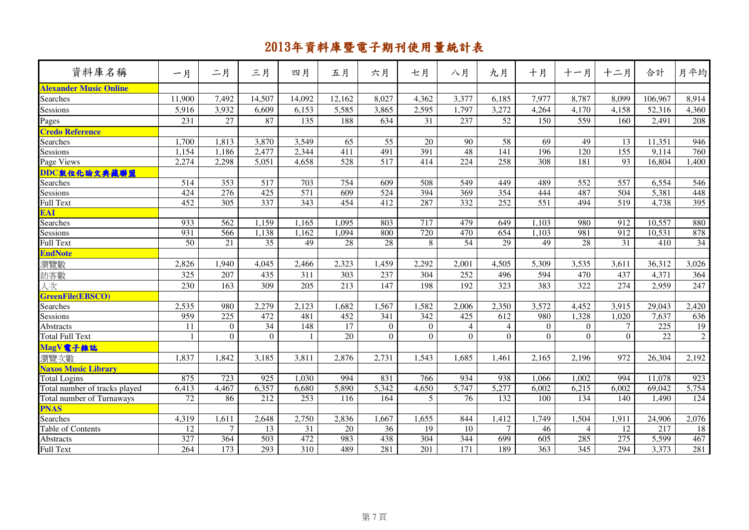| 資料庫名稱                         | 一月     | 二月             | 三月       | 四月               | 五月     | 六月           | 七月               | 八月             | 九月             | 十月             | 十一月            | 十二月              | 合計              | 月平均             |
|-------------------------------|--------|----------------|----------|------------------|--------|--------------|------------------|----------------|----------------|----------------|----------------|------------------|-----------------|-----------------|
| <b>Alexander Music Online</b> |        |                |          |                  |        |              |                  |                |                |                |                |                  |                 |                 |
| Searches                      | 11,900 | 7,492          | 14,507   | 14,092           | 12,162 | 8,027        | 4,362            | 3,377          | 6,185          | 7,977          | 8,787          | 8,099            | 106,967         | 8,914           |
| Sessions                      | 5,916  | 3,932          | 6,609    | 6,153            | 5,585  | 3,865        | 2,595            | 1,797          | 3,272          | 4,264          | 4,170          | 4,158            | 52,316          | 4,360           |
| Pages                         | 231    | 27             | 87       | 135              | 188    | 634          | 31               | 237            | 52             | 150            | 559            | 160              | 2,491           | 208             |
| <b>Credo Reference</b>        |        |                |          |                  |        |              |                  |                |                |                |                |                  |                 |                 |
| Searches                      | 1,700  | 1,813          | 3,870    | 3,549            | 65     | 55           | 20               | 90             | 58             | 69             | 49             | 13               | 11,351          | 946             |
| Sessions                      | 1,154  | 1,186          | 2,477    | 2,344            | 411    | 491          | 391              | 48             | 141            | 196            | 120            | 155              | 9,114           | 760             |
| Page Views                    | 2,274  | 2,298          | 5,051    | 4,658            | 528    | 517          | 414              | 224            | 258            | 308            | 181            | 93               | 16,804          | 1,400           |
| DDC敦位化論文典藏聯盟                  |        |                |          |                  |        |              |                  |                |                |                |                |                  |                 |                 |
| <b>Searches</b>               | 514    | 353            | 517      | 703              | 754    | 609          | 508              | 549            | 449            | 489            | 552            | 557              | 6,554           | 546             |
| Sessions                      | 424    | 276            | 425      | $\overline{571}$ | 609    | 524          | 394              | 369            | 354            | 444            | 487            | 504              | 5,381           | 448             |
| <b>Full Text</b>              | 452    | 305            | 337      | $\frac{1}{343}$  | 454    | 412          | 287              | 332            | 252            | 551            | 494            | $\overline{519}$ | 4,738           | 395             |
| EAI                           |        |                |          |                  |        |              |                  |                |                |                |                |                  |                 |                 |
| Searches                      | 933    | 562            | 1,159    | 1,165            | 1,095  | 803          | 717              | 479            | 649            | 1,103          | 980            | $\overline{912}$ | 10,557          | 880             |
| Sessions                      | 931    | 566            | 1,138    | 1,162            | 1,094  | 800          | $\overline{720}$ | 470            | 654            | 1,103          | 981            | $\overline{912}$ | 10,531          | 878             |
| Full Text                     | 50     | 21             | 35       | 49               | 28     | 28           | 8                | 54             | 29             | 49             | 28             | 31               | 410             | $\overline{34}$ |
| <b>EndNote</b>                |        |                |          |                  |        |              |                  |                |                |                |                |                  |                 |                 |
| 瀏覽數                           | 2,826  | 1,940          | 4,045    | 2,466            | 2,323  | 1,459        | 2,292            | 2,001          | 4,505          | 5,309          | 3,535          | 3,611            | 36,312          | 3,026           |
| 訪客數                           | 325    | 207            | 435      | 311              | 303    | 237          | 304              | 252            | 496            | 594            | 470            | 437              | 4,371           | 364             |
| 人次                            | 230    | 163            | 309      | 205              | 213    | 147          | 198              | 192            | 323            | 383            | 322            | 274              | 2,959           | 247             |
| GreenFile(EBSCO)              |        |                |          |                  |        |              |                  |                |                |                |                |                  |                 |                 |
| Searches                      | 2,535  | 980            | 2,279    | 2,123            | .682   | 1,567        | 1,582            | 2,006          | 2,350          | 3,572          | 4,452          | 3,915            | 29,043          | 2,420           |
| Sessions                      | 959    | 225            | 472      | 481              | 452    | 341          | 342              | 425            | 612            | 980            | 1,328          | 1,020            | 7,637           | 636             |
| <b>Abstracts</b>              | 11     | $\overline{0}$ | 34       | 148              | 17     | $\mathbf{0}$ | $\mathbf{0}$     | 4              | $\overline{4}$ | $\overline{0}$ | $\overline{0}$ | $\tau$           | 225             | 19              |
| <b>Total Full Text</b>        | 1      | $\Omega$       | $\theta$ | $\mathbf{1}$     | 20     | $\theta$     | $\overline{0}$   | $\overline{0}$ | $\theta$       | $\Omega$       | $\Omega$       | $\theta$         | $\overline{22}$ | $\overline{2}$  |
| MagV電子雜誌                      |        |                |          |                  |        |              |                  |                |                |                |                |                  |                 |                 |
| 瀏覽次數                          | 1,837  | 1,842          | 3,185    | 3,811            | 2,876  | 2,731        | 1,543            | 1,685          | 1,461          | 2,165          | 2,196          | 972              | 26,304          | 2,192           |
| <b>Naxos Music Library</b>    |        |                |          |                  |        |              |                  |                |                |                |                |                  |                 |                 |
| <b>Total Logins</b>           | 875    | 723            | 925      | 1,030            | 994    | 831          | 766              | 934            | 938            | 1,066          | 1,002          | 994              | 11,078          | 923             |
| Total number of tracks played | 6,413  | 4,467          | 6,357    | 6,680            | 5,890  | 5,342        | 4,650            | 5,747          | 5,277          | 6,002          | 6,215          | 6,002            | 69,042          | 5,754           |
| Total number of Turnaways     | 72     | 86             | 212      | 253              | 116    | 164          | 5                | 76             | 132            | 100            | 134            | 140              | 1,490           | 124             |
| <b>PNAS</b>                   |        |                |          |                  |        |              |                  |                |                |                |                |                  |                 |                 |
| Searches                      | 4,319  | 1,611          | 2,648    | 2,750            | 2,836  | 1,667        | 1,655            | 844            | 1,412          | 1,749          | 1,504          | 1,911            | 24,906          | 2,076           |
| Table of Contents             | 12     | $\overline{7}$ | 13       | 31               | 20     | 36           | 19               | 10             | $\tau$         | 46             | $\overline{4}$ | 12               | 217             | 18              |
| Abstracts                     | 327    | 364            | 503      | 472              | 983    | 438          | 304              | 344            | 699            | 605            | 285            | 275              | 5,599           | 467             |
| <b>Full Text</b>              | 264    | 173            | 293      | 310              | 489    | 281          | 201              | 171            | 189            | 363            | 345            | 294              | 3,373           | 281             |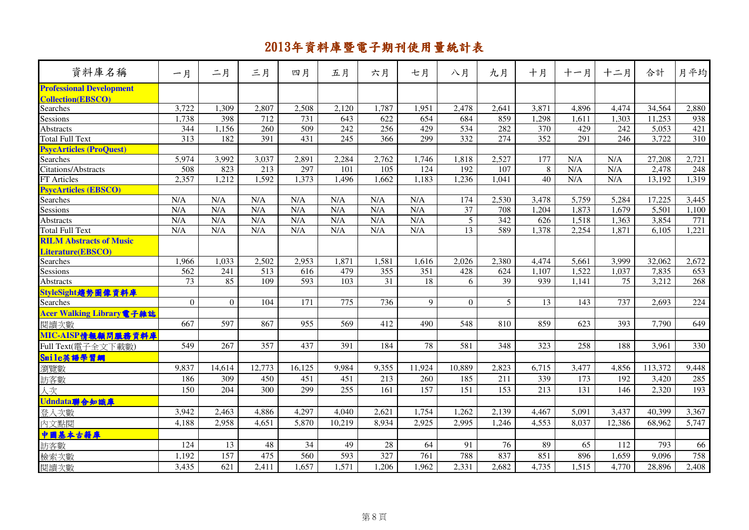| 資料庫名稱                                                       | 一月       | 二月       | 三月     | 四月     | 五月     | 六月               | 七月     | 八月              | 九月              | 十月               | 十一月   | 十二月    | 合計      | 月平均              |
|-------------------------------------------------------------|----------|----------|--------|--------|--------|------------------|--------|-----------------|-----------------|------------------|-------|--------|---------|------------------|
| <b>Professional Development</b><br><b>Collection(EBSCO)</b> |          |          |        |        |        |                  |        |                 |                 |                  |       |        |         |                  |
| Searches                                                    | 3,722    | 1,309    | 2,807  | 2,508  | 2,120  | 1,787            | 1,951  | 2,478           | 2,641           | 3,871            | 4,896 | 4,474  | 34,564  | 2,880            |
| Sessions                                                    | 1,738    | 398      | 712    | 731    | 643    | 622              | 654    | 684             | 859             | 1,298            | 1,611 | 1,303  | 11,253  | 938              |
| <b>Abstracts</b>                                            | 344      | 1,156    | 260    | 509    | 242    | 256              | 429    | 534             | 282             | 370              | 429   | 242    | 5,053   | 421              |
| Total Full Text                                             | 313      | 182      | 391    | 431    | 245    | 366              | 299    | 332             | 274             | $\overline{352}$ | 291   | 246    | 3,722   | 310              |
| <b>PsycArticles (ProQuest)</b>                              |          |          |        |        |        |                  |        |                 |                 |                  |       |        |         |                  |
| Searches                                                    | 5,974    | 3,992    | 3,037  | 2,891  | 2,284  | 2,762            | 1,746  | 1,818           | 2,527           | 177              | N/A   | N/A    | 27,208  | 2,721            |
| Citations/Abstracts                                         | 508      | 823      | 213    | 297    | 101    | 105              | 124    | 192             | 107             | 8                | N/A   | N/A    | 2,478   | 248              |
| FT Articles                                                 | 2,357    | 1,212    | 1,592  | 1,373  | 1,496  | 1,662            | 1,183  | 1,236           | 1,041           | 40               | N/A   | N/A    | 13,192  | 1,319            |
| <b>PsycArticles (EBSCO)</b>                                 |          |          |        |        |        |                  |        |                 |                 |                  |       |        |         |                  |
| Searches                                                    | N/A      | N/A      | N/A    | N/A    | N/A    | N/A              | N/A    | 174             | 2,530           | 3,478            | 5,759 | 5,284  | 17,225  | 3,445            |
| Sessions                                                    | N/A      | N/A      | N/A    | N/A    | N/A    | N/A              | N/A    | $\overline{37}$ | 708             | 1,204            | 1,873 | 1,679  | 5,501   | 1,100            |
| <b>Abstracts</b>                                            | N/A      | N/A      | N/A    | N/A    | N/A    | N/A              | N/A    | $\overline{5}$  | $\frac{342}{ }$ | 626              | 1,518 | 1,363  | 3,854   | $\overline{771}$ |
| Total Full Text                                             | N/A      | N/A      | N/A    | N/A    | N/A    | N/A              | N/A    | $\overline{13}$ | 589             | 1,378            | 2,254 | 1,871  | 6,105   | 1,221            |
| <b>RILM Abstracts of Music</b>                              |          |          |        |        |        |                  |        |                 |                 |                  |       |        |         |                  |
| Literature(EBSCO)                                           |          |          |        |        |        |                  |        |                 |                 |                  |       |        |         |                  |
| Searches                                                    | 1,966    | 1,033    | 2,502  | 2,953  | 1,871  | 1,581            | 1,616  | 2,026           | 2,380           | 4,474            | 5,661 | 3,999  | 32,062  | 2,672            |
| Sessions                                                    | 562      | 241      | 513    | 616    | 479    | $\overline{355}$ | 351    | 428             | 624             | 1,107            | 1,522 | 1,037  | 7,835   | 653              |
| <b>Abstracts</b>                                            | 73       | 85       | 109    | 593    | 103    | 31               | 18     | 6               | 39              | 939              | 1,141 | 75     | 3,212   | 268              |
| StyleSight趨勢圖像資料庫                                           |          |          |        |        |        |                  |        |                 |                 |                  |       |        |         |                  |
| Searches                                                    | $\Omega$ | $\Omega$ | 104    | 171    | 775    | 736              | 9      | $\theta$        | 5 <sup>5</sup>  | 13               | 143   | 737    | 2,693   | 224              |
| Acer Walking Library 電子雜誌                                   |          |          |        |        |        |                  |        |                 |                 |                  |       |        |         |                  |
| 閱讀次數                                                        | 667      | 597      | 867    | 955    | 569    | 412              | 490    | 548             | 810             | 859              | 623   | 393    | 7,790   | 649              |
| MIC-AISP情報顧問服務資料庫                                           |          |          |        |        |        |                  |        |                 |                 |                  |       |        |         |                  |
| Full Text(電子全文下載數)                                          | 549      | 267      | 357    | 437    | 391    | 184              | 78     | 581             | 348             | 323              | 258   | 188    | 3,961   | 330              |
| Smile英語學習網                                                  |          |          |        |        |        |                  |        |                 |                 |                  |       |        |         |                  |
| 瀏覽數                                                         | 9,837    | 14,614   | 12,773 | 16,125 | 9,984  | 9,355            | 11,924 | 10,889          | 2,823           | 6,715            | 3,477 | 4,856  | 113,372 | 9,448            |
| 訪客數                                                         | 186      | 309      | 450    | 451    | 451    | 213              | 260    | 185             | 211             | 339              | 173   | 192    | 3,420   | 285              |
| 仄次                                                          | 150      | 204      | 300    | 299    | 255    | 161              | 157    | 151             | 153             | 213              | 131   | 146    | 2,320   | 193              |
| Udndata聯合知識庫                                                |          |          |        |        |        |                  |        |                 |                 |                  |       |        |         |                  |
| 登入次數                                                        | 3,942    | 2,463    | 4,886  | 4,297  | 4,040  | 2,621            | 1,754  | 1,262           | 2,139           | 4,467            | 5,091 | 3,437  | 40,399  | 3,367            |
| 內文點閱                                                        | 4,188    | 2,958    | 4,651  | 5,870  | 10,219 | 8,934            | 2,925  | 2,995           | 1,246           | 4,553            | 8,037 | 12,386 | 68,962  | 5,747            |
|                                                             |          |          |        |        |        |                  |        |                 |                 |                  |       |        |         |                  |
| <mark>中國基本古籍庫</mark><br>訪客數                                 | 124      | 13       | 48     | 34     | 49     | 28               | 64     | 91              | 76              | 89               | 65    | 112    | 793     | 66               |
| 檢索次數                                                        | 1,192    | 157      | 475    | 560    | 593    | 327              | 761    | 788             | 837             | 851              | 896   | 1,659  | 9,096   | 758              |
| 閱讀次數                                                        | 3,435    | 621      | 2,411  | 1.657  | 1,571  | 1,206            | 1,962  | 2,331           | 2,682           | 4,735            | 1,515 | 4,770  | 28,896  | 2,408            |
|                                                             |          |          |        |        |        |                  |        |                 |                 |                  |       |        |         |                  |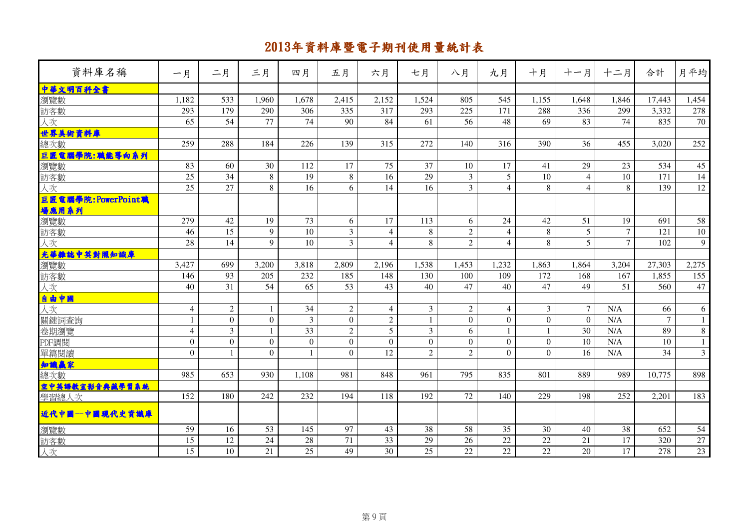| 資料庫名稱                                           | 一月               | 二月               | 三月           | 四月              | 五月             | 六月             | 七月             | 八月               | 九月             | 十月             | 十一月            | 十二月             | 合計              | 月平均            |
|-------------------------------------------------|------------------|------------------|--------------|-----------------|----------------|----------------|----------------|------------------|----------------|----------------|----------------|-----------------|-----------------|----------------|
| 中華文明百科全書                                        |                  |                  |              |                 |                |                |                |                  |                |                |                |                 |                 |                |
| 瀏覽數                                             | 1,182            | 533              | 1,960        | 1,678           | 2,415          | 2,152          | 1,524          | 805              | 545            | 1,155          | 1,648          | 1,846           | 17,443          | 1,454          |
| 訪客數                                             | 293              | 179              | 290          | 306             | 335            | 317            | 293            | 225              | 171            | 288            | 336            | 299             | 3,332           | 278            |
| 人次                                              | 65               | 54               | 77           | 74              | 90             | 84             | 61             | 56               | 48             | 69             | 83             | 74              | 835             | 70             |
| 世界美術資料庫                                         |                  |                  |              |                 |                |                |                |                  |                |                |                |                 |                 |                |
| 總次數                                             | 259              | 288              | 184          | 226             | 139            | 315            | 272            | 140              | 316            | 390            | 36             | 455             | 3,020           | 252            |
| <mark>旦匠電腦學院:職能導向系列</mark><br>瀏覽數<br>訪客數        |                  |                  |              |                 |                |                |                |                  |                |                |                |                 |                 |                |
|                                                 | 83               | 60               | 30           | 112             | 17             | 75             | 37             | 10               | 17             | 41             | 29             | 23              | 534             | 45             |
|                                                 | 25               | 34               | $\,8\,$      | 19              | 8              | 16             | 29             | 3                | 5              | 10             | $\overline{4}$ | 10              | 171             | 14             |
| 人次                                              | $\overline{25}$  | $\overline{27}$  | 8            | $\overline{16}$ | 6              | 14             | 16             | $\overline{3}$   | $\overline{4}$ | 8              | $\overline{4}$ | 8               | 139             | 12             |
| 巨匠電腦學院:PowerPoint職<br><mark>場應用系列</mark><br>瀏覽數 |                  |                  |              |                 |                |                |                |                  |                |                |                |                 |                 |                |
|                                                 | 279              | 42               | 19           | 73              | 6              | 17             | 113            | 6                | 24             | 42             | 51             | 19              | 691             | 58             |
| 訪客數                                             | 46               | 15               | 9            | 10              | $\overline{3}$ | $\overline{4}$ | 8              | $\overline{2}$   | $\overline{4}$ | 8              | 5              | $7\phantom{.0}$ | 121             | 10             |
| 人次                                              | 28               | 14               | 9            | 10              | $\mathfrak{Z}$ | $\overline{4}$ | 8              | $\overline{c}$   | $\overline{4}$ | 8              | 5              | $\overline{7}$  | 102             | 9              |
| 光華雜誌中英對照知識庫                                     |                  |                  |              |                 |                |                |                |                  |                |                |                |                 |                 |                |
| 瀏覽數                                             | 3,427            | 699              | 3,200        | 3,818           | 2,809          | 2,196          | 1,538          | 1,453            | 1,232          | 1,863          | 1,864          | 3,204           | 27,303          | 2,275          |
| 訪客數                                             | 146              | 93               | 205          | 232             | 185            | 148            | 130            | 100              | 109            | 172            | 168            | 167             | 1,855           | 155            |
| 人次                                              | 40               | $\overline{31}$  | 54           | $\overline{65}$ | 53             | 43             | 40             | 47               | 40             | 47             | 49             | 51              | 560             | 47             |
| 自由中國<br>人次                                      |                  |                  |              |                 |                |                |                |                  |                |                |                |                 |                 |                |
|                                                 | $\overline{4}$   | $\sqrt{2}$       |              | 34              | $\overline{2}$ | $\overline{4}$ | 3              | $\overline{2}$   | $\overline{4}$ | $\overline{3}$ | $\tau$         | N/A             | 66              | 6              |
| 關鍵詞查詢                                           | 1                | $\boldsymbol{0}$ | $\mathbf{0}$ | $\overline{3}$  | $\overline{0}$ | $\overline{2}$ | $\mathbf{1}$   | $\overline{0}$   | $\overline{0}$ | $\overline{0}$ | $\Omega$       | N/A             | $\overline{7}$  | 1              |
| 卷期瀏覽                                            | $\overline{4}$   | $\overline{3}$   |              | 33              | $\sqrt{2}$     | 5              | 3              | 6                | $\mathbf{1}$   | -1             | 30             | N/A             | 89              | $8\,$          |
| PDF調閱                                           | $\boldsymbol{0}$ | $\mathbf{0}$     | $\mathbf{0}$ | $\overline{0}$  | $\overline{0}$ | $\theta$       | $\mathbf{0}$   | $\boldsymbol{0}$ | $\overline{0}$ | $\overline{0}$ | 10             | N/A             | 10              | 1              |
| 軍篇閱讀                                            | $\overline{0}$   | $\mathbf{1}$     | $\mathbf{0}$ | $\mathbf{1}$    | $\Omega$       | 12             | $\overline{2}$ | $\overline{2}$   | $\mathbf{0}$   | $\Omega$       | 16             | N/A             | $\overline{34}$ | $\overline{3}$ |
| 知識赢家                                            |                  |                  |              |                 |                |                |                |                  |                |                |                |                 |                 |                |
| 總次數                                             | 985              | 653              | 930          | 1,108           | 981            | 848            | 961            | 795              | 835            | 801            | 889            | 989             | 10,775          | 898            |
| 空中英語教室影音典藏學習系統                                  |                  |                  |              |                 |                |                |                |                  |                |                |                |                 |                 |                |
| 學習總人次                                           | 152              | 180              | 242          | 232             | 194            | 118            | 192            | 72               | 140            | 229            | 198            | 252             | 2,201           | 183            |
| 近代中國--中國現代史資識庫                                  |                  |                  |              |                 |                |                |                |                  |                |                |                |                 |                 |                |
| 瀏覽數                                             | 59               | 16               | 53           | 145             | 97             | 43             | 38             | 58               | 35             | 30             | 40             | 38              | 652             | 54             |
| 訪客數                                             | 15               | 12               | 24           | 28              | 71             | 33             | 29             | 26               | $22\,$         | 22             | 21             | 17              | 320             | $27\,$         |
| 人次                                              | 15               | 10               | 21           | 25              | 49             | 30             | 25             | 22               | 22             | 22             | 20             | 17              | 278             | 23             |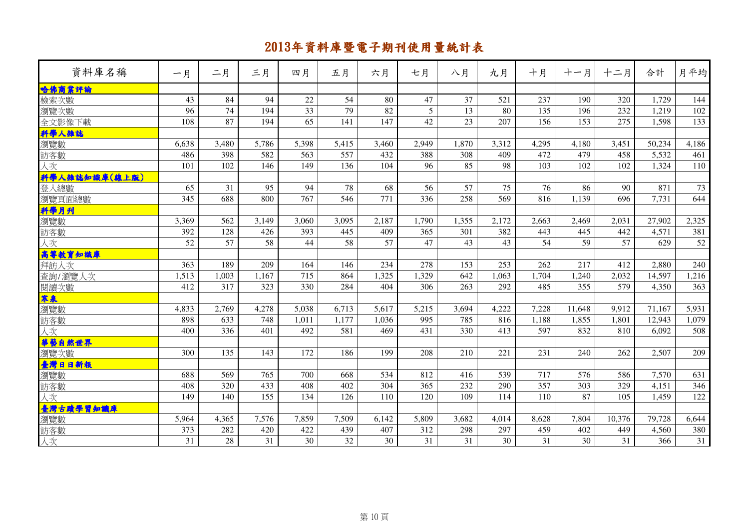| 資料庫名稱                           | 一月    | 二月    | 三月    | 四月              | 五月    | 六月    | 七月    | 八月    | 九月    | 十月    | 十一月    | 十二月    | 合計     | 月平均   |
|---------------------------------|-------|-------|-------|-----------------|-------|-------|-------|-------|-------|-------|--------|--------|--------|-------|
| 哈佛商業評論                          |       |       |       |                 |       |       |       |       |       |       |        |        |        |       |
| 檢索次數                            | 43    | 84    | 94    | 22              | 54    | 80    | 47    | 37    | 521   | 237   | 190    | 320    | 1,729  | 144   |
| 瀏覽次數                            | 96    | 74    | 194   | 33              | 79    | 82    | 5     | 13    | 80    | 135   | 196    | 232    | 1,219  | 102   |
| 全文影像下載                          | 108   | 87    | 194   | $\overline{65}$ | 141   | 147   | 42    | 23    | 207   | 156   | 153    | 275    | 1,598  | 133   |
| 科學人雜誌                           |       |       |       |                 |       |       |       |       |       |       |        |        |        |       |
| 瀏覽數                             | 6.638 | 3,480 | 5,786 | 5,398           | 5,415 | 3,460 | 2.949 | 1,870 | 3,312 | 4.295 | 4.180  | 3,451  | 50.234 | 4,186 |
| 訪客數                             | 486   | 398   | 582   | 563             | 557   | 432   | 388   | 308   | 409   | 472   | 479    | 458    | 5,532  | 461   |
| 人次                              | 101   | 102   | 146   | 149             | 136   | 104   | 96    | 85    | 98    | 103   | 102    | 102    | 1,324  | 110   |
| (科學人韓誌知識庫(線上版)<br>登入總數          |       |       |       |                 |       |       |       |       |       |       |        |        |        |       |
|                                 | 65    | 31    | 95    | 94              | 78    | 68    | 56    | 57    | 75    | 76    | 86     | 90     | 871    | 73    |
| 瀏覽頁面總數                          | 345   | 688   | 800   | 767             | 546   | 771   | 336   | 258   | 569   | 816   | 1,139  | 696    | 7,731  | 644   |
|                                 |       |       |       |                 |       |       |       |       |       |       |        |        |        |       |
|                                 | 3,369 | 562   | 3,149 | 3,060           | 3,095 | 2,187 | 1,790 | 1,355 | 2,172 | 2,663 | 2,469  | 2,031  | 27,902 | 2,325 |
| <mark>料學月刊</mark><br>瀏覽數<br>訪客數 | 392   | 128   | 426   | 393             | 445   | 409   | 365   | 301   | 382   | 443   | 445    | 442    | 4,571  | 381   |
| 人次                              | 52    | 57    | 58    | 44              | 58    | 57    | 47    | 43    | 43    | 54    | 59     | 57     | 629    | 52    |
| 高等教育知識庫                         |       |       |       |                 |       |       |       |       |       |       |        |        |        |       |
| 拜訪人次                            | 363   | 189   | 209   | 164             | 146   | 234   | 278   | 153   | 253   | 262   | 217    | 412    | 2,880  | 240   |
| 查詢/瀏覽人次                         | 1,513 | 1,003 | 1,167 | 715             | 864   | 1,325 | 1,329 | 642   | 1,063 | 1,704 | 1,240  | 2,032  | 14,597 | 1,216 |
| 閱讀次數                            | 412   | 317   | 323   | 330             | 284   | 404   | 306   | 263   | 292   | 485   | 355    | 579    | 4,350  | 363   |
| 寒泉                              |       |       |       |                 |       |       |       |       |       |       |        |        |        |       |
| 瀏覽數                             | 4,833 | 2,769 | 4,278 | 5,038           | 6,713 | 5,617 | 5,215 | 3,694 | 4,222 | 7,228 | 11,648 | 9,912  | 71,167 | 5,931 |
| 訪客數                             | 898   | 633   | 748   | 1,011           | 1,177 | 1,036 | 995   | 785   | 816   | 1,188 | 1,855  | 1.801  | 12,943 | 1,079 |
| 人次                              | 400   | 336   | 401   | 492             | 581   | 469   | 431   | 330   | 413   | 597   | 832    | 810    | 6,092  | 508   |
| <mark>華藝自然世界</mark><br>瀏覽次數     |       |       |       |                 |       |       |       |       |       |       |        |        |        |       |
|                                 | 300   | 135   | 143   | 172             | 186   | 199   | 208   | 210   | 221   | 231   | 240    | 262    | 2,507  | 209   |
|                                 |       |       |       |                 |       |       |       |       |       |       |        |        |        |       |
| <mark>臺灣日日新報</mark>             | 688   | 569   | 765   | 700             | 668   | 534   | 812   | 416   | 539   | 717   | 576    | 586    | 7,570  | 631   |
| 訪客數                             | 408   | 320   | 433   | 408             | 402   | 304   | 365   | 232   | 290   | 357   | 303    | 329    | 4,151  | 346   |
| 人次                              | 149   | 140   | 155   | 134             | 126   | 110   | 120   | 109   | 114   | 110   | 87     | 105    | 1,459  | 122   |
| <mark>臺灣古蹟學習知識庫</mark><br>瀏覽數   |       |       |       |                 |       |       |       |       |       |       |        |        |        |       |
|                                 | 5,964 | 4,365 | 7,576 | 7,859           | 7,509 | 6,142 | 5,809 | 3,682 | 4,014 | 8,628 | 7,804  | 10,376 | 79,728 | 6,644 |
| 訪客數                             | 373   | 282   | 420   | 422             | 439   | 407   | 312   | 298   | 297   | 459   | 402    | 449    | 4,560  | 380   |
| 人次                              | 31    | 28    | 31    | 30              | 32    | 30    | 31    | 31    | 30    | 31    | 30     | 31     | 366    | 31    |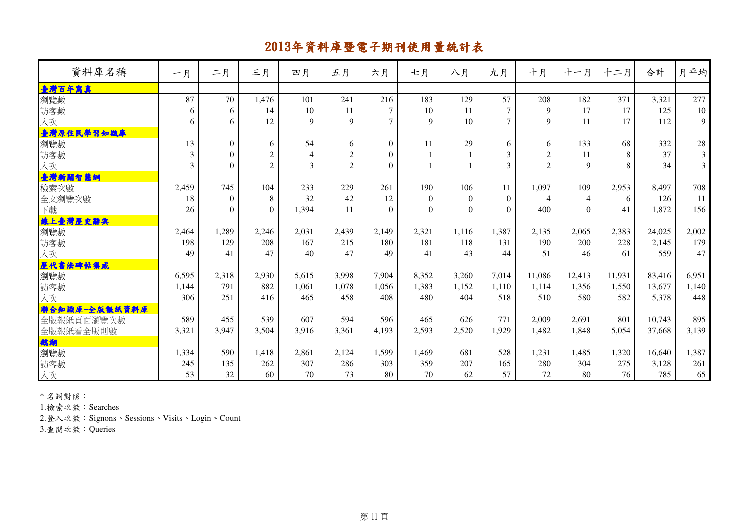| 資料庫名稱         | 一月             | 二月       | 三月             | 四月             | 五月             | 六月       | 七月       | 八月       | 九月             | 十月             | 十一月            | 十二月    | 合計     | 月平均            |
|---------------|----------------|----------|----------------|----------------|----------------|----------|----------|----------|----------------|----------------|----------------|--------|--------|----------------|
| 臺灣百年寫真        |                |          |                |                |                |          |          |          |                |                |                |        |        |                |
| 瀏覽數           | 87             | 70       | 1.476          | 101            | 241            | 216      | 183      | 129      | 57             | 208            | 182            | 371    | 3.321  | 277            |
| 訪客數           | 6              | 6        | 14             | 10             | 11             | $\tau$   | 10       | 11       | $\overline{7}$ | $\mathbf Q$    | 17             | 17     | 125    | 10             |
| 人次            | 6              | 6        | 12             | 9              | 9              | $\tau$   | 9        | 10       | $\tau$         | 9              | 11             | 17     | 112    | 9              |
| 臺灣原住民學習知識庫    |                |          |                |                |                |          |          |          |                |                |                |        |        |                |
| 瀏覽數           | 13             | $\Omega$ | 6              | 54             | 6              | $\Omega$ | 11       | 29       | 6              | 6              | 133            | 68     | 332    | $28\,$         |
| 訪客數           | $\overline{3}$ | $\Omega$ | $\overline{2}$ | $\overline{4}$ | $\overline{2}$ | $\Omega$ |          |          | $\overline{3}$ | $\overline{2}$ | 11             | 8      | 37     | $\overline{3}$ |
| 人次            | 3              | $\Omega$ | $\overline{2}$ | 3              | 2              | $\Omega$ |          |          | 3              | $\overline{2}$ | 9              | 8      | 34     | $\overline{3}$ |
| 臺灣新聞智慧網       |                |          |                |                |                |          |          |          |                |                |                |        |        |                |
| 檢索次數          | 2,459          | 745      | 104            | 233            | 229            | 261      | 190      | 106      | 11             | 1,097          | 109            | 2,953  | 8.497  | 708            |
| 全文瀏覽次數        | 18             | $\Omega$ | 8              | 32             | 42             | 12       | $\Omega$ | $\Omega$ | $\mathbf{0}$   | 4              | $\overline{4}$ | 6      | 126    | 11             |
| 下載            | 26             | $\Omega$ | $\Omega$       | 1,394          | 11             | $\Omega$ | $\Omega$ | $\Omega$ | $\Omega$       | 400            | $\Omega$       | 41     | 1,872  | 156            |
| 線上臺灣歷史辭典      |                |          |                |                |                |          |          |          |                |                |                |        |        |                |
| 瀏覽數           | 2,464          | 1.289    | 2.246          | 2.031          | 2.439          | 2.149    | 2.321    | 1.116    | 1.387          | 2.135          | 2,065          | 2.383  | 24,025 | 2,002          |
| 訪客數           | 198            | 129      | 208            | 167            | 215            | 180      | 181      | 118      | 131            | 190            | 200            | 228    | 2,145  | 179            |
| 人次            | 49             | 41       | 47             | 40             | 47             | 49       | 41       | 43       | 44             | 51             | 46             | 61     | 559    | 47             |
| 歷代書法碑帖集成      |                |          |                |                |                |          |          |          |                |                |                |        |        |                |
| 瀏覽數           | 6.595          | 2,318    | 2,930          | 5.615          | 3.998          | 7,904    | 8,352    | 3,260    | 7,014          | 11,086         | 12,413         | 11,931 | 83,416 | 6,951          |
| 訪客數           | 1,144          | 791      | 882            | 1,061          | 1,078          | 1,056    | 1,383    | 1,152    | 1,110          | 1,114          | 1,356          | 1,550  | 13,677 | 1,140          |
| 人次            | 306            | 251      | 416            | 465            | 458            | 408      | 480      | 404      | 518            | 510            | 580            | 582    | 5,378  | 448            |
| 聯合知識庫-全版報紙資料庫 |                |          |                |                |                |          |          |          |                |                |                |        |        |                |
| 全版報紙頁面瀏覽次數    | 589            | 455      | 539            | 607            | 594            | 596      | 465      | 626      | 771            | 2,009          | 2,691          | 801    | 10,743 | 895            |
| 全版報紙看全版則數     | 3,321          | 3,947    | 3,504          | 3,916          | 3,361          | 4,193    | 2,593    | 2,520    | 1,929          | 1,482          | 1,848          | 5,054  | 37,668 | 3,139          |
| 鹅湖            |                |          |                |                |                |          |          |          |                |                |                |        |        |                |
| 瀏覽數           | 1,334          | 590      | 1,418          | 2,861          | 2,124          | 1,599    | 1.469    | 681      | 528            | 1,231          | 1.485          | 1.320  | 16.640 | 1,387          |
| 訪客數           | 245            | 135      | 262            | 307            | 286            | 303      | 359      | 207      | 165            | 280            | 304            | 275    | 3,128  | 261            |
| 人次            | 53             | 32       | 60             | 70             | 73             | 80       | 70       | 62       | 57             | 72             | 80             | 76     | 785    | 65             |

\* 名詞對照:

1.檢索次數:Searches

2.登入次數:Signons、Sessions、Visits、Login、Count

3.查閱次數:Queries